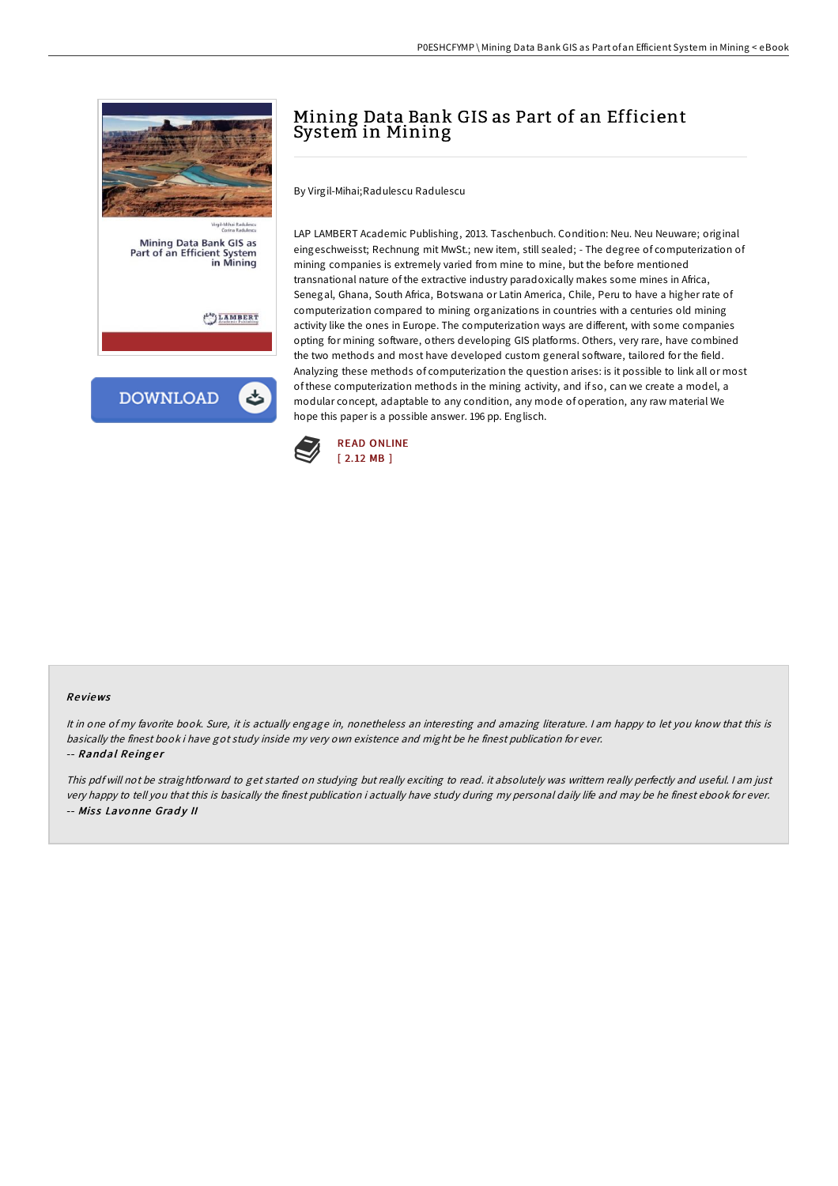

# Mining Data Bank GIS as Part of an Efficient System in Mining

By Virgil-Mihai;Radulescu Radulescu

LAP LAMBERT Academic Publishing, 2013. Taschenbuch. Condition: Neu. Neu Neuware; original eingeschweisst; Rechnung mit MwSt.; new item, still sealed; - The degree of computerization of mining companies is extremely varied from mine to mine, but the before mentioned transnational nature of the extractive industry paradoxically makes some mines in Africa, Senegal, Ghana, South Africa, Botswana or Latin America, Chile, Peru to have a higher rate of computerization compared to mining organizations in countries with a centuries old mining activity like the ones in Europe. The computerization ways are different, with some companies opting for mining software, others developing GIS platforms. Others, very rare, have combined the two methods and most have developed custom general software, tailored for the field. Analyzing these methods of computerization the question arises: is it possible to link all or most of these computerization methods in the mining activity, and if so, can we create a model, a modular concept, adaptable to any condition, any mode of operation, any raw material We hope this paper is a possible answer. 196 pp. Englisch.



### Re views

It in one of my favorite book. Sure, it is actually engage in, nonetheless an interesting and amazing literature. <sup>I</sup> am happy to let you know that this is basically the finest book i have got study inside my very own existence and might be he finest publication for ever. -- Randal Reinger

This pdf will not be straightforward to get started on studying but really exciting to read. it absolutely was writtern really perfectly and useful. I am just very happy to tell you that this is basically the finest publication i actually have study during my personal daily life and may be he finest ebook for ever. -- Miss Lavonne Grady II